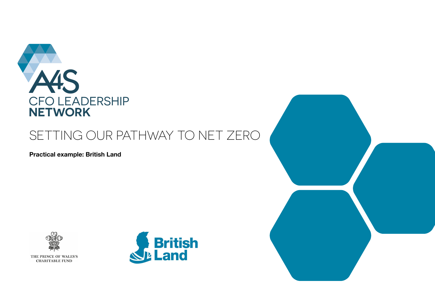

# SETTING OUR PATHWAY TO NET ZERO

**Practical example: British Land**



THE PRINCE OF WALES'S **CHARITABLE FUND** 

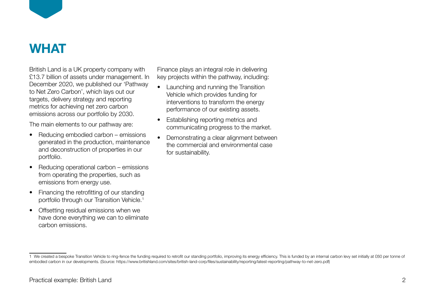

## **WHAT**

British Land is a UK property company with £13.7 billion of assets under management. In December 2020, we published our 'Pathway to Net Zero Carbon', which lays out our targets, delivery strategy and reporting metrics for achieving net zero carbon emissions across our portfolio by 2030.

The main elements to our pathway are:

- Reducing embodied carbon emissions generated in the production, maintenance and deconstruction of properties in our portfolio.
- Reducing operational carbon emissions from operating the properties, such as emissions from energy use.
- Financing the retrofitting of our standing portfolio through our Transition Vehicle.<sup>1</sup>
- Offsetting residual emissions when we have done everything we can to eliminate carbon emissions.

Finance plays an integral role in delivering key projects within the pathway, including:

- Launching and running the Transition Vehicle which provides funding for interventions to transform the energy performance of our existing assets.
- Establishing reporting metrics and communicating progress to the market.
- Demonstrating a clear alignment between the commercial and environmental case for sustainability.

<sup>1</sup> We created a bespoke Transition Vehicle to ring-fence the funding required to retrofit our standing portfolio, improving its energy efficiency. This is funded by an internal carbon levy set initially at £60 per tonne of embodied carbon in our developments. (Source: https://www.britishland.com/sites/british-land-corp/files/sustainability/reporting/latest-reporting/pathway-to-net-zero.pdf)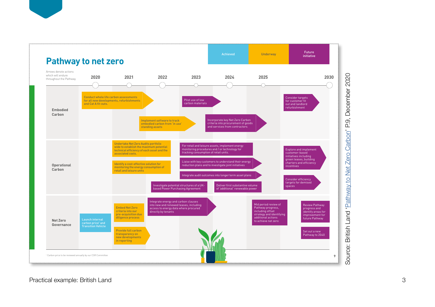

Source: British Land '[Pathway to Net Zero Carbon](https://www.britishland.com/sites/british-land-corp/files/sustainability/reporting/latest-reporting/pathway-to-net-zero.pdf)' P.9, December 2020 December တ ΔË Carbon'  $Zero$ Net O<sub>1</sub> VBWUJP<sub>d</sub> Duen British I Source: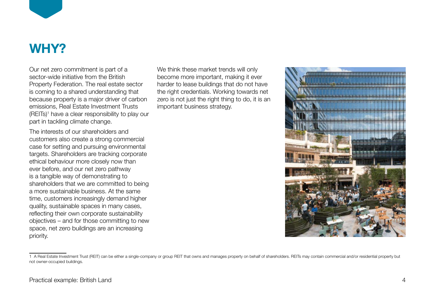

# **WHY?**

Our net zero commitment is part of a sector-wide initiative from the British Property Federation. The real estate sector is coming to a shared understanding that because property is a major driver of carbon emissions, Real Estate Investment Trusts (REITs)<sup>1</sup> have a clear responsibility to play our part in tackling climate change.

The interests of our shareholders and customers also create a strong commercial case for setting and pursuing environmental targets. Shareholders are tracking corporate ethical behaviour more closely now than ever before, and our net zero pathway is a tangible way of demonstrating to shareholders that we are committed to being a more sustainable business. At the same time, customers increasingly demand higher quality, sustainable spaces in many cases, reflecting their own corporate sustainability objectives – and for those committing to new space, net zero buildings are an increasing priority.

We think these market trends will only become more important, making it ever harder to lease buildings that do not have the right credentials. Working towards net zero is not just the right thing to do, it is an important business strategy.



<sup>1</sup> A Real Estate Investment Trust (REIT) can be either a single-company or group REIT that owns and manages property on behalf of shareholders. REITs may contain commercial and/or residential property but not owner-occupied buildings.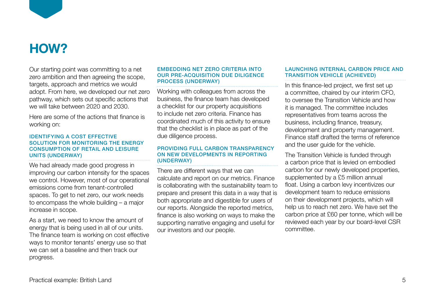

### **HOW?**

Our starting point was committing to a net zero ambition and then agreeing the scope, targets, approach and metrics we would adopt. From here, we developed our net zero pathway, which sets out specific actions that we will take between 2020 and 2030.

Here are some of the actions that finance is working on:

### IDENTIFYING A COST EFFECTIVE SOLUTION FOR MONITORING THE ENERGY CONSUMPTION OF RETAIL AND LEISURE UNITS (UNDERWAY)

We had already made good progress in improving our carbon intensity for the spaces we control. However, most of our operational emissions come from tenant-controlled spaces. To get to net zero, our work needs to encompass the whole building – a major increase in scope.

As a start, we need to know the amount of energy that is being used in all of our units. The finance team is working on cost effective ways to monitor tenants' energy use so that we can set a baseline and then track our progress.

### EMBEDDING NET ZERO CRITERIA INTO OUR PRE-ACQUISITION DUE DILIGENCE PROCESS (UNDERWAY)

Working with colleagues from across the business, the finance team has developed a checklist for our property acquisitions to include net zero criteria. Finance has coordinated much of this activity to ensure that the checklist is in place as part of the due diligence process.

### PROVIDING FULL CARBON TRANSPARENCY ON NEW DEVELOPMENTS IN REPORTING (UNDERWAY)

There are different ways that we can calculate and report on our metrics. Finance is collaborating with the sustainability team to prepare and present this data in a way that is both appropriate and digestible for users of our reports. Alongside the reported metrics, finance is also working on ways to make the supporting narrative engaging and useful for our investors and our people.

### LAUNCHING INTERNAL CARBON PRICE AND TRANSITION VEHICLE (ACHIEVED)

In this finance-led project, we first set up a committee, chaired by our interim CFO, to oversee the Transition Vehicle and how it is managed. The committee includes representatives from teams across the business, including finance, treasury, development and property management. Finance staff drafted the terms of reference and the user guide for the vehicle.

The Transition Vehicle is funded through a carbon price that is levied on embodied carbon for our newly developed properties, supplemented by a £5 million annual float. Using a carbon levy incentivizes our development team to reduce emissions on their development projects, which will help us to reach net zero. We have set the carbon price at £60 per tonne, which will be reviewed each year by our board-level CSR committee.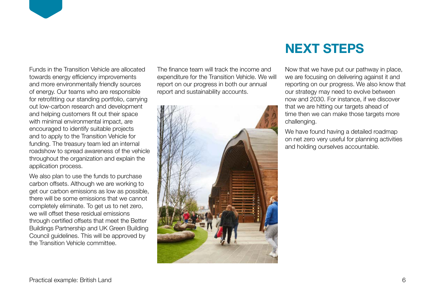

We also plan to use the funds to purchase carbon offsets. Although we are working to get our carbon emissions as low as possible, there will be some emissions that we cannot completely eliminate. To get us to net zero, we will offset these residual emissions through certified offsets that meet the Better Buildings Partnership and UK Green Building Council guidelines. This will be approved by the Transition Vehicle committee.

The finance team will track the income and expenditure for the Transition Vehicle. We will report on our progress in both our annual report and sustainability accounts.



### **NEXT STEPS**

Now that we have put our pathway in place, we are focusing on delivering against it and reporting on our progress. We also know that our strategy may need to evolve between now and 2030. For instance, if we discover that we are hitting our targets ahead of time then we can make those targets more challenging.

We have found having a detailed roadmap on net zero very useful for planning activities and holding ourselves accountable.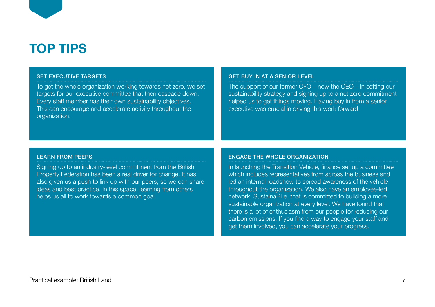# **TOP TIPS**

### SET EXECUTIVE TARGETS

To get the whole organization working towards net zero, we set targets for our executive committee that then cascade down. Every staff member has their own sustainability objectives. This can encourage and accelerate activity throughout the organization.

#### GET BUY IN AT A SENIOR LEVEL.

The support of our former CFO – now the CEO – in setting our sustainability strategy and signing up to a net zero commitment helped us to get things moving. Having buy in from a senior executive was crucial in driving this work forward.

#### LEARN FROM PEERS

Signing up to an industry-level commitment from the British Property Federation has been a real driver for change. It has also given us a push to link up with our peers, so we can share ideas and best practice. In this space, learning from others helps us all to work towards a common goal.

#### ENGAGE THE WHOLE ORGANIZATION

In launching the Transition Vehicle, finance set up a committee which includes representatives from across the business and led an internal roadshow to spread awareness of the vehicle throughout the organization. We also have an employee-led network, SustainaBLe, that is committed to building a more sustainable organization at every level. We have found that there is a lot of enthusiasm from our people for reducing our carbon emissions. If you find a way to engage your staff and get them involved, you can accelerate your progress.